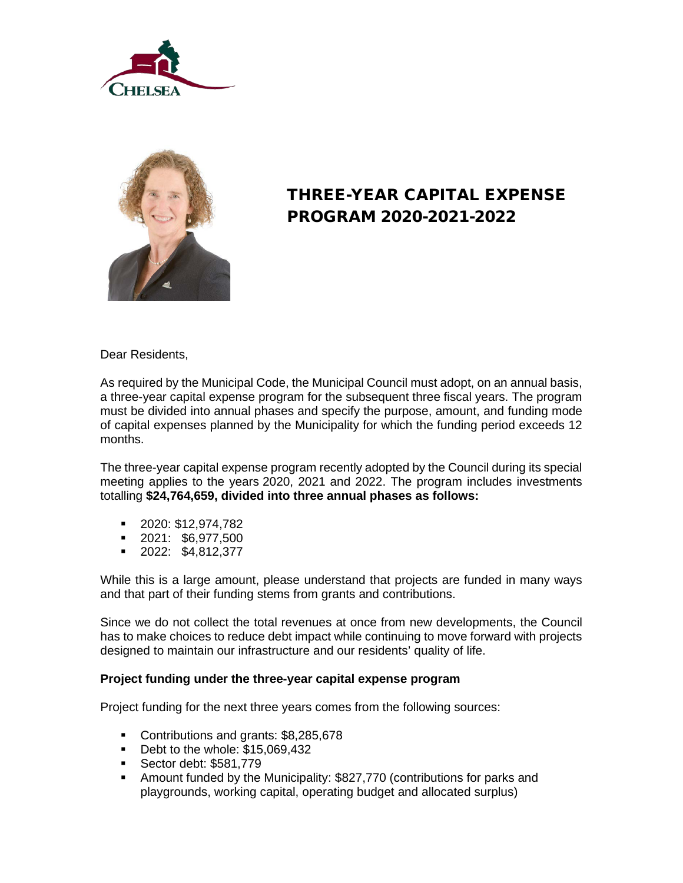



# THREE-YEAR CAPITAL EXPENSE PROGRAM 2020-2021-2022

Dear Residents,

As required by the Municipal Code, the Municipal Council must adopt, on an annual basis, a three-year capital expense program for the subsequent three fiscal years. The program must be divided into annual phases and specify the purpose, amount, and funding mode of capital expenses planned by the Municipality for which the funding period exceeds 12 months.

The three-year capital expense program recently adopted by the Council during its special meeting applies to the years 2020, 2021 and 2022. The program includes investments totalling **\$24,764,659, divided into three annual phases as follows:**

- 2020: \$12,974,782
- 2021: \$6,977,500
- 2022: \$4,812,377

While this is a large amount, please understand that projects are funded in many ways and that part of their funding stems from grants and contributions.

Since we do not collect the total revenues at once from new developments, the Council has to make choices to reduce debt impact while continuing to move forward with projects designed to maintain our infrastructure and our residents' quality of life.

#### **Project funding under the three-year capital expense program**

Project funding for the next three years comes from the following sources:

- Contributions and grants: \$8,285,678
- Debt to the whole: \$15,069,432
- **Sector debt: \$581,779**
- Amount funded by the Municipality: \$827,770 (contributions for parks and playgrounds, working capital, operating budget and allocated surplus)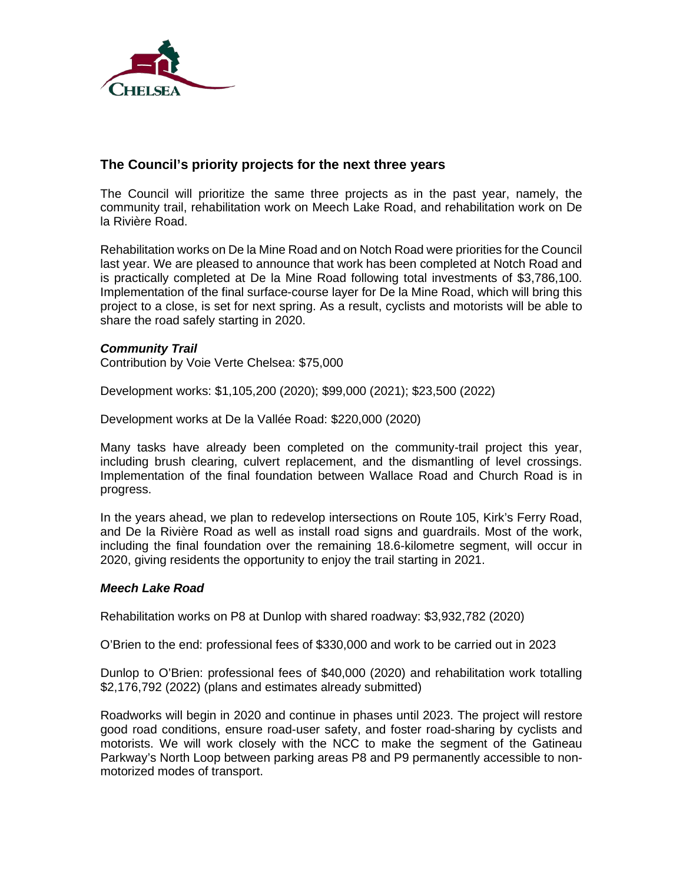

### **The Council's priority projects for the next three years**

The Council will prioritize the same three projects as in the past year, namely, the community trail, rehabilitation work on Meech Lake Road, and rehabilitation work on De la Rivière Road.

Rehabilitation works on De la Mine Road and on Notch Road were priorities for the Council last year. We are pleased to announce that work has been completed at Notch Road and is practically completed at De la Mine Road following total investments of \$3,786,100. Implementation of the final surface-course layer for De la Mine Road, which will bring this project to a close, is set for next spring. As a result, cyclists and motorists will be able to share the road safely starting in 2020.

### *Community Trail*

Contribution by Voie Verte Chelsea: \$75,000

Development works: \$1,105,200 (2020); \$99,000 (2021); \$23,500 (2022)

Development works at De la Vallée Road: \$220,000 (2020)

Many tasks have already been completed on the community-trail project this year, including brush clearing, culvert replacement, and the dismantling of level crossings. Implementation of the final foundation between Wallace Road and Church Road is in progress.

In the years ahead, we plan to redevelop intersections on Route 105, Kirk's Ferry Road, and De la Rivière Road as well as install road signs and guardrails. Most of the work, including the final foundation over the remaining 18.6-kilometre segment, will occur in 2020, giving residents the opportunity to enjoy the trail starting in 2021.

### *Meech Lake Road*

Rehabilitation works on P8 at Dunlop with shared roadway: \$3,932,782 (2020)

O'Brien to the end: professional fees of \$330,000 and work to be carried out in 2023

Dunlop to O'Brien: professional fees of \$40,000 (2020) and rehabilitation work totalling \$2,176,792 (2022) (plans and estimates already submitted)

Roadworks will begin in 2020 and continue in phases until 2023. The project will restore good road conditions, ensure road-user safety, and foster road-sharing by cyclists and motorists. We will work closely with the NCC to make the segment of the Gatineau Parkway's North Loop between parking areas P8 and P9 permanently accessible to nonmotorized modes of transport.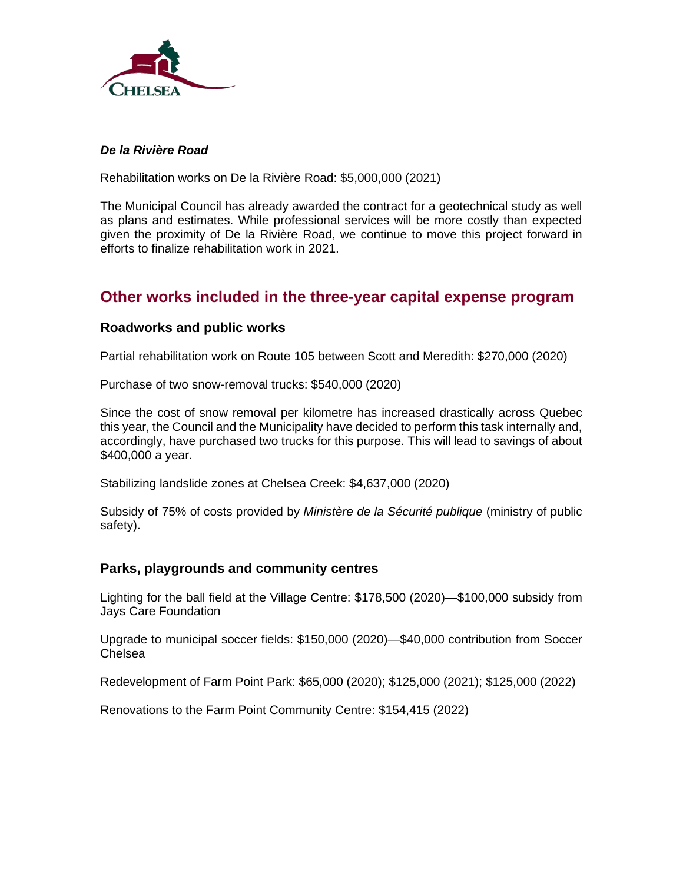

### *De la Rivière Road*

Rehabilitation works on De la Rivière Road: \$5,000,000 (2021)

The Municipal Council has already awarded the contract for a geotechnical study as well as plans and estimates. While professional services will be more costly than expected given the proximity of De la Rivière Road, we continue to move this project forward in efforts to finalize rehabilitation work in 2021.

## **Other works included in the three-year capital expense program**

### **Roadworks and public works**

Partial rehabilitation work on Route 105 between Scott and Meredith: \$270,000 (2020)

Purchase of two snow-removal trucks: \$540,000 (2020)

Since the cost of snow removal per kilometre has increased drastically across Quebec this year, the Council and the Municipality have decided to perform this task internally and, accordingly, have purchased two trucks for this purpose. This will lead to savings of about \$400,000 a year.

Stabilizing landslide zones at Chelsea Creek: \$4,637,000 (2020)

Subsidy of 75% of costs provided by *Ministère de la Sécurité publique* (ministry of public safety).

### **Parks, playgrounds and community centres**

Lighting for the ball field at the Village Centre: \$178,500 (2020)—\$100,000 subsidy from Jays Care Foundation

Upgrade to municipal soccer fields: \$150,000 (2020)—\$40,000 contribution from Soccer Chelsea

Redevelopment of Farm Point Park: \$65,000 (2020); \$125,000 (2021); \$125,000 (2022)

Renovations to the Farm Point Community Centre: \$154,415 (2022)